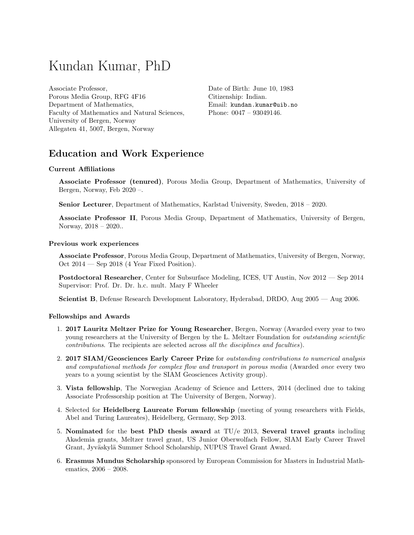# Kundan Kumar, PhD

Associate Professor, Porous Media Group, RFG 4F16 Department of Mathematics, Faculty of Mathematics and Natural Sciences, University of Bergen, Norway Allegaten 41, 5007, Bergen, Norway

Date of Birth: June 10, 1983 Citizenship: Indian. Email: [kundan.kumar@uib.no](mailto:kundan.kumar@uib.no) Phone: 0047 – 93049146.

## Education and Work Experience

#### Current Affiliations

Associate Professor (tenured), Porous Media Group, Department of Mathematics, University of Bergen, Norway, Feb 2020 –.

Senior Lecturer, Department of Mathematics, Karlstad University, Sweden, 2018 – 2020.

Associate Professor II, Porous Media Group, Department of Mathematics, University of Bergen, Norway, 2018 – 2020..

#### Previous work experiences

Associate Professor, Porous Media Group, Department of Mathematics, University of Bergen, Norway, Oct 2014 — Sep 2018 (4 Year Fixed Position).

Postdoctoral Researcher, Center for Subsurface Modeling, ICES, UT Austin, Nov 2012 — Sep 2014 Supervisor: Prof. Dr. Dr. h.c. mult. Mary F Wheeler

Scientist B, Defense Research Development Laboratory, Hyderabad, DRDO, Aug 2005 — Aug 2006.

#### Fellowships and Awards

- 1. 2017 Lauritz Meltzer Prize for Young Researcher, Bergen, Norway (Awarded every year to two young researchers at the University of Bergen by the L. Meltzer Foundation for *outstanding scientific* contributions. The recipients are selected across all the disciplines and faculties).
- 2. 2017 SIAM/Geosciences Early Career Prize for outstanding contributions to numerical analysis and computational methods for complex flow and transport in porous media (Awarded once every two years to a young scientist by the SIAM Geosciences Activity group).
- 3. Vista fellowship, The Norwegian Academy of Science and Letters, 2014 (declined due to taking Associate Professorship position at The University of Bergen, Norway).
- 4. Selected for Heidelberg Laureate Forum fellowship (meeting of young researchers with Fields, Abel and Turing Laureates), Heidelberg, Germany, Sep 2013.
- 5. Nominated for the best PhD thesis award at  $TU/e$  2013, Several travel grants including Akademia grants, Meltzer travel grant, US Junior Oberwolfach Fellow, SIAM Early Career Travel Grant, Jyväskylä Summer School Scholarship, NUPUS Travel Grant Award.
- 6. Erasmus Mundus Scholarship sponsored by European Commission for Masters in Industrial Mathematics, 2006 – 2008.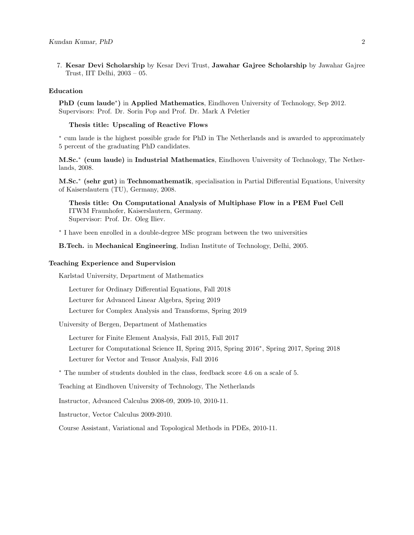7. Kesar Devi Scholarship by Kesar Devi Trust, Jawahar Gajree Scholarship by Jawahar Gajree Trust, IIT Delhi, 2003 – 05.

#### Education

PhD (cum laude<sup>\*</sup>) in Applied Mathematics, Eindhoven University of Technology, Sep 2012. Supervisors: Prof. Dr. Sorin Pop and Prof. Dr. Mark A Peletier

#### Thesis title: Upscaling of Reactive Flows

∗ cum laude is the highest possible grade for PhD in The Netherlands and is awarded to approximately 5 percent of the graduating PhD candidates.

M.Sc.<sup>\*</sup> (cum laude) in Industrial Mathematics, Eindhoven University of Technology, The Netherlands, 2008.

M.Sc.<sup>\*</sup> (sehr gut) in Technomathematik, specialisation in Partial Differential Equations, University of Kaiserslautern (TU), Germany, 2008.

Thesis title: On Computational Analysis of Multiphase Flow in a PEM Fuel Cell ITWM Fraunhofer, Kaiserslautern, Germany. Supervisor: Prof. Dr. Oleg Iliev.

∗ I have been enrolled in a double-degree MSc program between the two universities

B.Tech. in Mechanical Engineering, Indian Institute of Technology, Delhi, 2005.

#### Teaching Experience and Supervision

Karlstad University, Department of Mathematics

Lecturer for Ordinary Differential Equations, Fall 2018

Lecturer for Advanced Linear Algebra, Spring 2019

Lecturer for Complex Analysis and Transforms, Spring 2019

University of Bergen, Department of Mathematics

Lecturer for Finite Element Analysis, Fall 2015, Fall 2017

Lecturer for Computational Science II, Spring 2015, Spring 2016<sup>∗</sup> , Spring 2017, Spring 2018 Lecturer for Vector and Tensor Analysis, Fall 2016

<sup>∗</sup> The number of students doubled in the class, feedback score 4.6 on a scale of 5.

Teaching at Eindhoven University of Technology, The Netherlands

Instructor, Advanced Calculus 2008-09, 2009-10, 2010-11.

Instructor, Vector Calculus 2009-2010.

Course Assistant, Variational and Topological Methods in PDEs, 2010-11.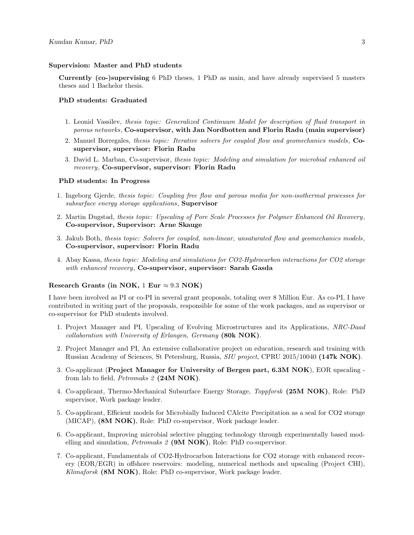#### Supervision: Master and PhD students

Currently (co-)supervising 6 PhD theses, 1 PhD as main, and have already supervised 5 masters theses and 1 Bachelor thesis.

#### PhD students: Graduated

- 1. Leonid Vassilev, thesis topic: Generalized Continuum Model for description of fluid transport in porous networks, Co-supervisor, with Jan Nordbotten and Florin Radu (main supervisor)
- 2. Manuel Borregales, thesis topic: Iterative solvers for coupled flow and geomechanics models, Cosupervisor, supervisor: Florin Radu
- 3. David L. Marban, Co-supervisor, thesis topic: Modeling and simulation for microbial enhanced oil recovery, Co-supervisor, supervisor: Florin Radu

#### PhD students: In Progress

- 1. Ingeborg Gjerde, thesis topic: Coupling free flow and porous media for non-isothermal processes for subsurface energy storage applications, Supervisor
- 2. Martin Dugstad, thesis topic: Upscaling of Pore Scale Processes for Polymer Enhanced Oil Recovery, Co-supervisor, Supervisor: Arne Skauge
- 3. Jakub Both, thesis topic: Solvers for coupled, non-linear, unsaturated flow and geomechanics models , Co-supervisor, supervisor: Florin Radu
- 4. Abay Kassa, thesis topic: Modeling and simulations for CO2-Hydrocarbon interactions for CO2 storage with enhanced recovery, Co-supervisor, supervisor: Sarah Gasda

#### Research Grants (in NOK, 1 Eur  $\approx 9.3$  NOK)

I have been involved as PI or co-PI in several grant proposals, totaling over 8 Million Eur. As co-PI, I have contributed in writing part of the proposals, responsible for some of the work packages, and as supervisor or co-supervisor for PhD students involved.

- 1. Project Manager and PI, Upscaling of Evolving Microstructures and its Applications, NRC-Daad collaboration with University of Erlangen, Germany (80k NOK).
- 2. Project Manager and PI, An extensive collaborative project on education, research and training with Russian Academy of Sciences, St Petersburg, Russia, SIU project, CPRU 2015/10040 (147k NOK).
- 3. Co-applicant (Project Manager for University of Bergen part, 6.3M NOK), EOR upscaling from lab to field, *Petromaks 2* (24M NOK).
- 4. Co-applicant, Thermo-Mechanical Subsurface Energy Storage, Toppforsk (25M NOK), Role: PhD supervisor, Work package leader.
- 5. Co-applicant, Efficient models for Microbially Induced CAlcite Precipitation as a seal for CO2 storage (MICAP), (8M NOK), Role: PhD co-supervisor, Work package leader.
- 6. Co-applicant, Improving microbial selective plugging technology through experimentally based modelling and simulation, *Petromaks 2* (9M NOK), Role: PhD co-supervisor.
- 7. Co-applicant, Fundamentals of CO2-Hydrocarbon Interactions for CO2 storage with enhanced recovery (EOR/EGR) in offshore reservoirs: modeling, numerical methods and upscaling (Project CHI), Klimaforsk (8M NOK), Role: PhD co-supervisor, Work package leader.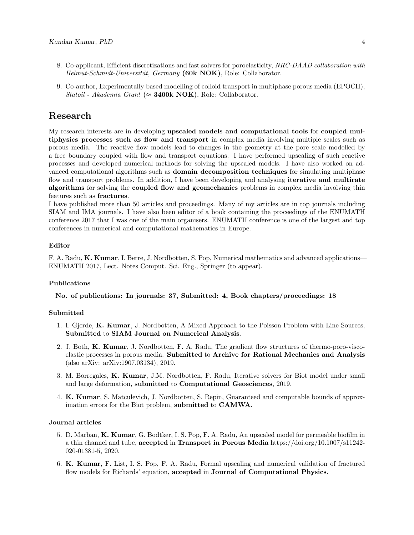- 8. Co-applicant, Efficient discretizations and fast solvers for poroelasticity, NRC-DAAD collaboration with Helmut-Schmidt-Universität, Germany  $(60k \text{ NOK})$ , Role: Collaborator.
- 9. Co-author, Experimentally based modelling of colloid transport in multiphase porous media (EPOCH), Statoil - Akademia Grant ( $\approx$  3400k NOK), Role: Collaborator.

### Research

My research interests are in developing upscaled models and computational tools for coupled multiphysics processes such as flow and transport in complex media involving multiple scales such as porous media. The reactive flow models lead to changes in the geometry at the pore scale modelled by a free boundary coupled with flow and transport equations. I have performed upscaling of such reactive processes and developed numerical methods for solving the upscaled models. I have also worked on advanced computational algorithms such as domain decomposition techniques for simulating multiphase flow and transport problems. In addition, I have been developing and analysing **iterative and multirate** algorithms for solving the coupled flow and geomechanics problems in complex media involving thin features such as fractures.

I have published more than 50 articles and proceedings. Many of my articles are in top journals including SIAM and IMA journals. I have also been editor of a book containing the proceedings of the ENUMATH conference 2017 that I was one of the main organisers. ENUMATH conference is one of the largest and top conferences in numerical and computational mathematics in Europe.

#### Editor

F. A. Radu, K. Kumar, I. Berre, J. Nordbotten, S. Pop, Numerical mathematics and advanced applications— ENUMATH 2017, Lect. Notes Comput. Sci. Eng., Springer (to appear).

#### Publications

No. of publications: In journals: 37, Submitted: 4, Book chapters/proceedings: 18

#### Submitted

- 1. I. Gjerde, K. Kumar, J. Nordbotten, A Mixed Approach to the Poisson Problem with Line Sources, Submitted to SIAM Journal on Numerical Analysis.
- 2. J. Both, K. Kumar, J. Nordbotten, F. A. Radu, The gradient flow structures of thermo-poro-viscoelastic processes in porous media. Submitted to Archive for Rational Mechanics and Analysis (also arXiv: arXiv:1907.03134), 2019.
- 3. M. Borregales, K. Kumar, J.M. Nordbotten, F. Radu, Iterative solvers for Biot model under small and large deformation, submitted to Computational Geosciences, 2019.
- 4. K. Kumar, S. Matculevich, J. Nordbotten, S. Repin, Guaranteed and computable bounds of approximation errors for the Biot problem, submitted to CAMWA.

#### Journal articles

- 5. D. Marban, K. Kumar, G. Bodtker, I. S. Pop, F. A. Radu, An upscaled model for permeable biofilm in a thin channel and tube, accepted in Transport in Porous Media https://doi.org/10.1007/s11242- 020-01381-5, 2020.
- 6. K. Kumar, F. List, I. S. Pop, F. A. Radu, Formal upscaling and numerical validation of fractured flow models for Richards' equation, accepted in **Journal of Computational Physics**.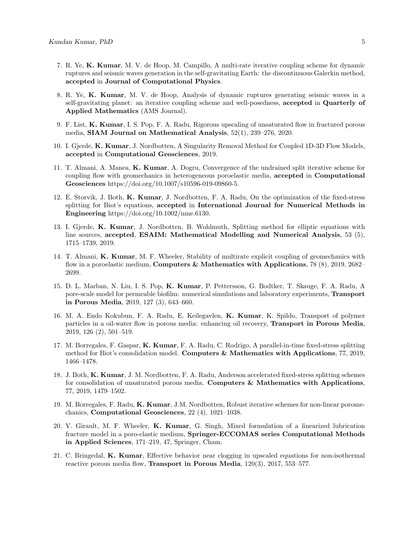- 7. R. Ye, K. Kumar, M. V. de Hoop, M. Campillo, A multi-rate iterative coupling scheme for dynamic ruptures and seismic waves generation in the self-gravitating Earth: the discontinuous Galerkin method, accepted in Journal of Computational Physics.
- 8. R. Ye, K. Kumar, M. V. de Hoop, Analysis of dynamic ruptures generating seismic waves in a self-gravitating planet: an iterative coupling scheme and well-posedness, accepted in Quarterly of Applied Mathematics (AMS Journal).
- 9. F. List, K. Kumar, I. S. Pop, F. A. Radu, Rigorous upscaling of unsaturated flow in fractured porous media, SIAM Journal on Mathematical Analysis, 52(1), 239–276, 2020.
- 10. I. Gjerde, K. Kumar, J. Nordbotten, A Singularity Removal Method for Coupled 1D-3D Flow Models, accepted in Computational Geosciences, 2019.
- 11. T. Almani, A. Manea, K. Kumar, A. Dogru, Convergence of the undrained split iterative scheme for coupling flow with geomechanics in heterogeneous poroelastic media, accepted in Computational Geosciences https://doi.org/10.1007/s10596-019-09860-5.
- 12. E. Storvik, J. Both, K. Kumar, J. Nordbotten, F. A. Radu, On the optimization of the fixed-stress splitting for Biot's equations, accepted in International Journal for Numerical Methods in Engineering https://doi.org/10.1002/nme.6130.
- 13. I. Gjerde, K. Kumar, J. Nordbotten, B. Wohlmuth, Splitting method for elliptic equations with line sources, accepted, ESAIM: Mathematical Modelling and Numerical Analysis, 53 (5), 1715–1739, 2019.
- 14. T. Almani, K. Kumar, M. F. Wheeler, Stability of multirate explicit coupling of geomechanics with flow in a poroelastic medium, **Computers & Mathematics with Applications**, 78  $(8)$ , 2019, 2682– 2699.
- 15. D. L. Marban, N. Liu, I. S. Pop, K. Kumar, P. Pettersson, G. Bodtker, T. Skauge, F. A. Radu, A pore-scale model for permeable biofilm: numerical simulations and laboratory experiments, Transport in Porous Media, 2019, 127 (3), 643–660.
- 16. M. A. Endo Kokubun, F. A. Radu, E. Keilegavlen, K. Kumar, K. Spildo, Transport of polymer particles in a oil-water flow in porous media: enhancing oil recovery, Transport in Porous Media, 2019, 126 (2), 501–519.
- 17. M. Borregales, F. Gaspar, K. Kumar, F. A. Radu, C. Rodrigo, A parallel-in-time fixed-stress splitting method for Biot's consolidation model. Computers & Mathematics with Applications, 77, 2019, 1466–1478.
- 18. J. Both, K. Kumar, J. M. Nordbotten, F. A. Radu, Anderson accelerated fixed-stress splitting schemes for consolidation of unsaturated porous media. Computers & Mathematics with Applications, 77, 2019, 1479–1502.
- 19. M. Borregales, F. Radu, K. Kumar, J.M. Nordbotten, Robust iterative schemes for non-linear poromechanics, Computational Geosciences, 22 (4), 1021–1038.
- 20. V. Girault, M. F. Wheeler, K. Kumar, G. Singh, Mixed formulation of a linearized lubrication fracture model in a poro-elastic medium, Springer-ECCOMAS series Computational Methods in Applied Sciences, 171–219, 47, Springer, Cham.
- 21. C. Bringedal, K. Kumar, Effective behavior near clogging in upscaled equations for non-isothermal reactive porous media flow, Transport in Porous Media, 120(3), 2017, 553–577.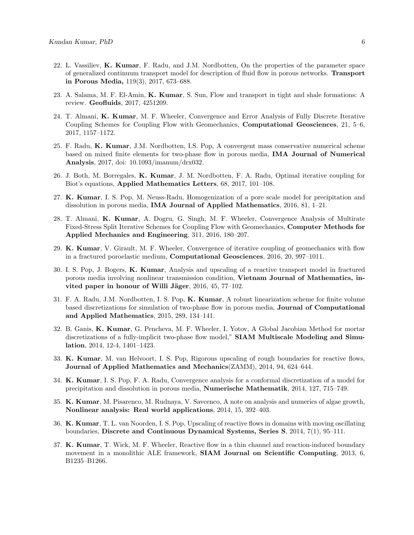- 22. L. Vassiliev, K. Kumar, F. Radu, and J.M. Nordbotten, On the properties of the parameter space of generalized continuum transport model for description of fluid flow in porous networks. Transport in Porous Media, 119(3), 2017, 673–688.
- 23. A. Salama, M. F. El-Amin, K. Kumar, S. Sun, Flow and transport in tight and shale formations: A review. Geofluids, 2017, 4251209.
- 24. T. Almani, K. Kumar, M. F. Wheeler, Convergence and Error Analysis of Fully Discrete Iterative Coupling Schemes for Coupling Flow with Geomechanics, Computational Geosciences, 21, 5–6, 2017, 1157–1172.
- 25. F. Radu, K. Kumar, J.M. Nordbotten, I.S. Pop, A convergent mass conservative numerical scheme based on mixed finite elements for two-phase flow in porous media, IMA Journal of Numerical Analysis, 2017, doi: 10.1093/imanum/drx032.
- 26. J. Both, M. Borregales, K. Kumar, J. M. Nordbotten, F. A. Radu, Optimal iterative coupling for Biot's equations, Applied Mathematics Letters, 68, 2017, 101–108.
- 27. K. Kumar, I. S. Pop, M. Neuss-Radu, Homogenization of a pore scale model for precipitation and dissolution in porous media, IMA Journal of Applied Mathematics, 2016, 81, 1–21.
- 28. T. Almani, K. Kumar, A. Dogru, G. Singh, M. F. Wheeler, Convergence Analysis of Multirate Fixed-Stress Split Iterative Schemes for Coupling Flow with Geomechanics, Computer Methods for Applied Mechanics and Engineering, 311, 2016, 180–207.
- 29. K. Kumar, V. Girault, M. F. Wheeler, Convergence of iterative coupling of geomechanics with flow in a fractured poroelastic medium, Computational Geosciences, 2016, 20, 997–1011.
- 30. I. S. Pop, J. Bogers, K. Kumar, Analysis and upscaling of a reactive transport model in fractured porous media involving nonlinear transmission condition, Vietnam Journal of Mathematics, invited paper in honour of Willi Jäger,  $2016$ ,  $45$ ,  $77-102$ .
- 31. F. A. Radu, J.M. Nordbotten, I. S. Pop, K. Kumar, A robust linearization scheme for finite volume based discretizations for simulation of two-phase flow in porous media, Journal of Computational and Applied Mathematics, 2015, 289, 134–141.
- 32. B. Ganis, K. Kumar, G. Pencheva, M. F. Wheeler, I. Yotov, A Global Jacobian Method for mortar discretizations of a fully-implicit two-phase flow model," SIAM Multiscale Modeling and Simulation, 2014, 12-4, 1401–1423.
- 33. K. Kumar, M. van Helvoort, I. S. Pop, Rigorous upscaling of rough boundaries for reactive flows, Journal of Applied Mathematics and Mechanics(ZAMM), 2014, 94, 624–644.
- 34. K. Kumar, I. S. Pop, F. A. Radu, Convergence analysis for a conformal discretization of a model for precipitation and dissolution in porous media, Numerische Mathematik, 2014, 127, 715–749.
- 35. K. Kumar, M. Pisarenco, M. Rudnaya, V. Savcenco, A note on analysis and numerics of algae growth, Nonlinear analysis: Real world applications, 2014, 15, 392–403.
- 36. K. Kumar, T. L. van Noorden, I. S. Pop, Upscaling of reactive flows in domains with moving oscillating boundaries, Discrete and Continuous Dynamical Systems, Series S, 2014, 7(1), 95–111.
- 37. K. Kumar, T. Wick, M. F. Wheeler, Reactive flow in a thin channel and reaction-induced boundary movement in a monolithic ALE framework, **SIAM Journal on Scientific Computing**, 2013, 6, B1235–B1266.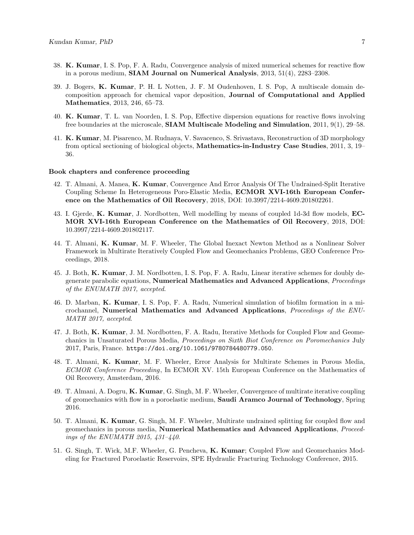- 38. K. Kumar, I. S. Pop, F. A. Radu, Convergence analysis of mixed numerical schemes for reactive flow in a porous medium, SIAM Journal on Numerical Analysis, 2013, 51(4), 2283–2308.
- 39. J. Bogers, K. Kumar, P. H. L Notten, J. F. M Oudenhoven, I. S. Pop, A multiscale domain decomposition approach for chemical vapor deposition, Journal of Computational and Applied Mathematics, 2013, 246, 65–73.
- 40. K. Kumar, T. L. van Noorden, I. S. Pop, Effective dispersion equations for reactive flows involving free boundaries at the microscale, SIAM Multiscale Modeling and Simulation, 2011, 9(1), 29–58.
- 41. K. Kumar, M. Pisarenco, M. Rudnaya, V. Savacenco, S. Srivastava, Reconstruction of 3D morphology from optical sectioning of biological objects, Mathematics-in-Industry Case Studies, 2011, 3, 19– 36.

#### Book chapters and conference proceeding

- 42. T. Almani, A. Manea, K. Kumar, Convergence And Error Analysis Of The Undrained-Split Iterative Coupling Scheme In Heterogeneous Poro-Elastic Media, ECMOR XVI-16th European Conference on the Mathematics of Oil Recovery, 2018, DOI: 10.3997/2214-4609.201802261.
- 43. I. Gjerde, K. Kumar, J. Nordbotten, Well modelling by means of coupled 1d-3d flow models, EC-MOR XVI-16th European Conference on the Mathematics of Oil Recovery, 2018, DOI: 10.3997/2214-4609.201802117.
- 44. T. Almani, K. Kumar, M. F. Wheeler, The Global Inexact Newton Method as a Nonlinear Solver Framework in Multirate Iteratively Coupled Flow and Geomechanics Problems, GEO Conference Proceedings, 2018.
- 45. J. Both, K. Kumar, J. M. Nordbotten, I. S. Pop, F. A. Radu, Linear iterative schemes for doubly degenerate parabolic equations, Numerical Mathematics and Advanced Applications, Proceedings of the ENUMATH 2017, accepted.
- 46. D. Marban, K. Kumar, I. S. Pop, F. A. Radu, Numerical simulation of biofilm formation in a microchannel, Numerical Mathematics and Advanced Applications, Proceedings of the ENU-MATH 2017, accepted.
- 47. J. Both, K. Kumar, J. M. Nordbotten, F. A. Radu, Iterative Methods for Coupled Flow and Geomechanics in Unsaturated Porous Media, Proceedings on Sixth Biot Conference on Poromechanics July 2017, Paris, France. <https://doi.org/10.1061/9780784480779.050>.
- 48. T. Almani, K. Kumar, M. F. Wheeler, Error Analysis for Multirate Schemes in Porous Media, ECMOR Conference Proceeding, In ECMOR XV. 15th European Conference on the Mathematics of Oil Recovery, Amsterdam, 2016.
- 49. T. Almani, A. Dogru, K. Kumar, G. Singh, M. F. Wheeler, Convergence of multirate iterative coupling of geomechanics with flow in a poroelastic medium, Saudi Aramco Journal of Technology, Spring 2016.
- 50. T. Almani, K. Kumar, G. Singh, M. F. Wheeler, Multirate undrained splitting for coupled flow and geomechanics in porous media, Numerical Mathematics and Advanced Applications, Proceedings of the ENUMATH 2015, 431–440.
- 51. G. Singh, T. Wick, M.F. Wheeler, G. Pencheva, K. Kumar; Coupled Flow and Geomechanics Modeling for Fractured Poroelastic Reservoirs, SPE Hydraulic Fracturing Technology Conference, 2015.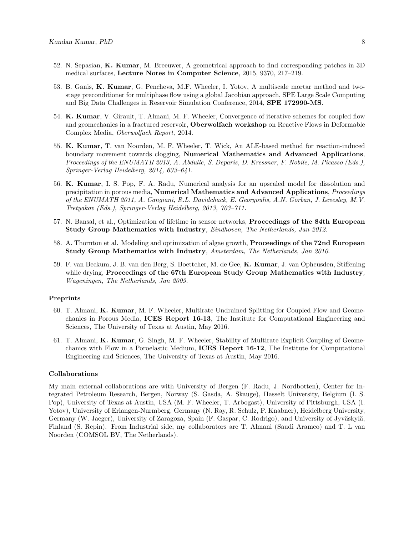- 52. N. Sepasian, K. Kumar, M. Breeuwer, A geometrical approach to find corresponding patches in 3D medical surfaces, Lecture Notes in Computer Science, 2015, 9370, 217–219.
- 53. B. Ganis, K. Kumar, G. Pencheva, M.F. Wheeler, I. Yotov, A multiscale mortar method and twostage preconditioner for multiphase flow using a global Jacobian approach, SPE Large Scale Computing and Big Data Challenges in Reservoir Simulation Conference, 2014, SPE 172990-MS.
- 54. K. Kumar, V. Girault, T. Almani, M. F. Wheeler, Convergence of iterative schemes for coupled flow and geomechanics in a fractured reservoir, Oberwolfach workshop on Reactive Flows in Deformable Complex Media, Oberwolfach Report, 2014.
- 55. K. Kumar, T. van Noorden, M. F. Wheeler, T. Wick, An ALE-based method for reaction-induced boundary movement towards clogging, Numerical Mathematics and Advanced Applications, Proceedings of the ENUMATH 2013, A. Abdulle, S. Deparis, D. Kressner, F. Nobile, M. Picasso (Eds.), Springer-Verlag Heidelberg, 2014, 633–641.
- 56. K. Kumar, I. S. Pop, F. A. Radu, Numerical analysis for an upscaled model for dissolution and precipitation in porous media, Numerical Mathematics and Advanced Applications, Proceedings of the ENUMATH 2011, A. Cangiani, R.L. Davidchack, E. Georgoulis, A.N. Gorban, J. Levesley, M.V. Tretyakov (Eds.), Springer-Verlag Heidelberg, 2013, 703–711.
- 57. N. Bansal, et al., Optimization of lifetime in sensor networks, Proceedings of the 84th European Study Group Mathematics with Industry, Eindhoven, The Netherlands, Jan 2012.
- 58. A. Thornton et al. Modeling and optimization of algae growth, Proceedings of the 72nd European Study Group Mathematics with Industry, Amsterdam, The Netherlands, Jan 2010.
- 59. F. van Beckum, J. B. van den Berg, S. Boettcher, M. de Gee, K. Kumar, J. van Opheusden, Stiffening while drying, Proceedings of the 67<sup>th</sup> European Study Group Mathematics with Industry. Wageningen, The Netherlands, Jan 2009.

#### Preprints

- 60. T. Almani, K. Kumar, M. F. Wheeler, Multirate Undrained Splitting for Coupled Flow and Geomechanics in Porous Media, ICES Report 16-13, The Institute for Computational Engineering and Sciences, The University of Texas at Austin, May 2016.
- 61. T. Almani, K. Kumar, G. Singh, M. F. Wheeler, Stability of Multirate Explicit Coupling of Geomechanics with Flow in a Poroelastic Medium, ICES Report 16-12, The Institute for Computational Engineering and Sciences, The University of Texas at Austin, May 2016.

#### Collaborations

My main external collaborations are with University of Bergen (F. Radu, J. Nordbotten), Center for Integrated Petroleum Research, Bergen, Norway (S. Gasda, A. Skauge), Hasselt University, Belgium (I. S. Pop), University of Texas at Austin, USA (M. F. Wheeler, T. Arbogast), University of Pittsburgh, USA (I. Yotov), University of Erlangen-Nurmberg, Germany (N. Ray, R. Schulz, P. Knabner), Heidelberg University, Germany (W. Jaeger), University of Zaragoza, Spain (F. Gaspar, C. Rodrigo), and University of Jyväskylä, Finland (S. Repin). From Industrial side, my collaborators are T. Almani (Saudi Aramco) and T. L van Noorden (COMSOL BV, The Netherlands).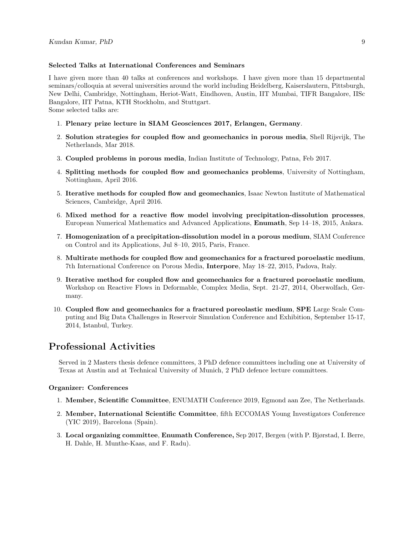#### Selected Talks at International Conferences and Seminars

I have given more than 40 talks at conferences and workshops. I have given more than 15 departmental seminars/colloquia at several universities around the world including Heidelberg, Kaiserslautern, Pittsburgh, New Delhi, Cambridge, Nottingham, Heriot-Watt, Eindhoven, Austin, IIT Mumbai, TIFR Bangalore, IISc Bangalore, IIT Patna, KTH Stockholm, and Stuttgart. Some selected talks are:

- 1. Plenary prize lecture in SIAM Geosciences 2017, Erlangen, Germany.
- 2. Solution strategies for coupled flow and geomechanics in porous media, Shell Rijsvijk, The Netherlands, Mar 2018.
- 3. Coupled problems in porous media, Indian Institute of Technology, Patna, Feb 2017.
- 4. Splitting methods for coupled flow and geomechanics problems, University of Nottingham, Nottingham, April 2016.
- 5. Iterative methods for coupled flow and geomechanics, Isaac Newton Institute of Mathematical Sciences, Cambridge, April 2016.
- 6. Mixed method for a reactive flow model involving precipitation-dissolution processes, European Numerical Mathematics and Advanced Applications, Enumath, Sep 14–18, 2015, Ankara.
- 7. Homogenization of a precipitation-dissolution model in a porous medium, SIAM Conference on Control and its Applications, Jul 8–10, 2015, Paris, France.
- 8. Multirate methods for coupled flow and geomechanics for a fractured poroelastic medium, 7th International Conference on Porous Media, Interpore, May 18–22, 2015, Padova, Italy.
- 9. Iterative method for coupled flow and geomechanics for a fractured poroelastic medium, Workshop on Reactive Flows in Deformable, Complex Media, Sept. 21-27, 2014, Oberwolfach, Germany.
- 10. Coupled flow and geomechanics for a fractured poreolastic medium, SPE Large Scale Computing and Big Data Challenges in Reservoir Simulation Conference and Exhibition, September 15-17, 2014, Istanbul, Turkey.

## Professional Activities

Served in 2 Masters thesis defence committees, 3 PhD defence committees including one at University of Texas at Austin and at Technical University of Munich, 2 PhD defence lecture committees.

#### Organizer: Conferences

- 1. Member, Scientific Committee, ENUMATH Conference 2019, Egmond aan Zee, The Netherlands.
- 2. Member, International Scientific Committee, fifth ECCOMAS Young Investigators Conference (YIC 2019), Barcelona (Spain).
- 3. Local organizing committee, Enumath Conference, Sep 2017, Bergen (with P. Bjørstad, I. Berre, H. Dahle, H. Munthe-Kaas, and F. Radu).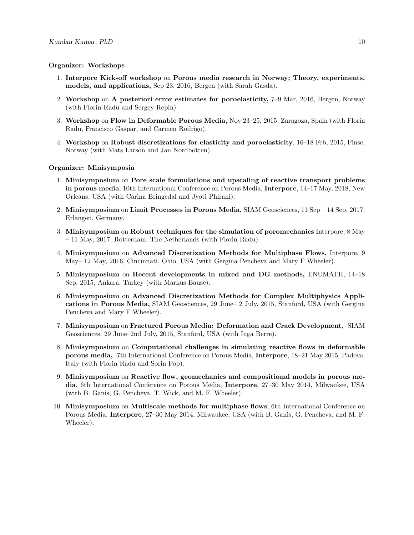#### Organizer: Workshops

- 1. Interpore Kick-off workshop on Porous media research in Norway; Theory, experiments, models, and applications, Sep 23, 2016, Bergen (with Sarah Gasda).
- 2. Workshop on A posteriori error estimates for poroelasticity, 7–9 Mar, 2016, Bergen, Norway (with Florin Radu and Sergey Repin).
- 3. Workshop on Flow in Deformable Porous Media, Nov 23–25, 2015, Zaragoza, Spain (with Florin Radu, Francisco Gaspar, and Carmen Rodrigo).
- 4. Workshop on Robust discretizations for elasticity and poroelasticity, 16–18 Feb, 2015, Finse, Norway (with Mats Larson and Jan Nordbotten).

#### Organizer: Minisymposia

- 1. Minisymposium on Pore scale formulations and upscaling of reactive transport problems in porous media, 10th International Conference on Porous Media, Interpore, 14–17 May, 2018, New Orleans, USA (with Carina Bringedal and Jyoti Phirani).
- 2. Minisymposium on Limit Processes in Porous Media, SIAM Geosciences, 11 Sep 14 Sep, 2017, Erlangen, Germany.
- 3. Minisymposium on Robust techniques for the simulation of poromechanics Interpore, 8 May – 11 May, 2017, Rotterdam, The Netherlands (with Florin Radu).
- 4. Minisymposium on Advanced Discretization Methods for Multiphase Flows, Interpore, 9 May– 12 May, 2016, Cincinnati, Ohio, USA (with Gergina Pencheva and Mary F Wheeler).
- 5. Minisymposium on Recent developments in mixed and DG methods, ENUMATH, 14–18 Sep, 2015, Ankara, Turkey (with Markus Bause).
- 6. Minisymposium on Advanced Discretization Methods for Complex Multiphysics Applications in Porous Media, SIAM Geosciences, 29 June– 2 July, 2015, Stanford, USA (with Gergina Pencheva and Mary F Wheeler).
- 7. Minisymposium on Fractured Porous Media: Deformation and Crack Development, SIAM Geosciences, 29 June–2nd July, 2015, Stanford, USA (with Inga Berre).
- 8. Minisymposium on Computational challenges in simulating reactive flows in deformable porous media, 7th International Conference on Porous Media, Interpore, 18–21 May 2015, Padova, Italy (with Florin Radu and Sorin Pop).
- 9. Minisymposium on Reactive flow, geomechanics and compositional models in porous media, 6th International Conference on Porous Media, Interpore, 27–30 May 2014, Milwaukee, USA (with B. Ganis, G. Pencheva, T. Wick, and M. F. Wheeler).
- 10. Minisymposium on Multiscale methods for multiphase flows, 6th International Conference on Porous Media, Interpore, 27–30 May 2014, Milwaukee, USA (with B. Ganis, G. Pencheva, and M. F. Wheeler).